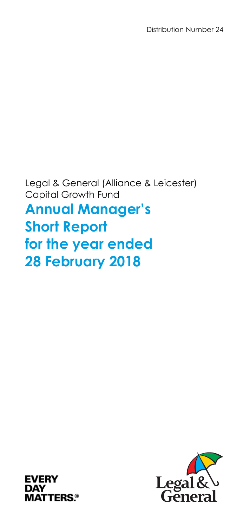Legal & General (Alliance & Leicester) Capital Growth Fund

**Annual Manager's Short Report for the year ended 28 February 2018** 



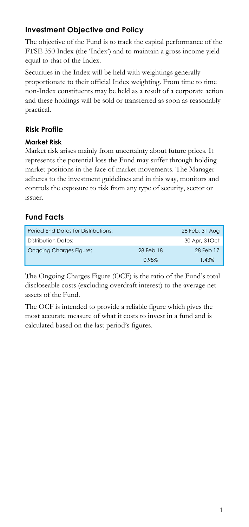# **Investment Objective and Policy**

The objective of the Fund is to track the capital performance of the FTSE 350 Index (the 'Index') and to maintain a gross income yield equal to that of the Index.

Securities in the Index will be held with weightings generally proportionate to their official Index weighting. From time to time non-Index constituents may be held as a result of a corporate action and these holdings will be sold or transferred as soon as reasonably practical.

# **Risk Profile**

### **Market Risk**

Market risk arises mainly from uncertainty about future prices. It represents the potential loss the Fund may suffer through holding market positions in the face of market movements. The Manager adheres to the investment guidelines and in this way, monitors and controls the exposure to risk from any type of security, sector or issuer.

# **Fund Facts**

| Period End Dates for Distributions: |           | 28 Feb, 31 Aug |
|-------------------------------------|-----------|----------------|
| Distribution Dates:                 |           | 30 Apr, 31 Oct |
| <b>Ongoing Charges Figure:</b>      | 28 Feb 18 | 28 Feb 17      |
|                                     | 0.98%     | 1.43%          |

The Ongoing Charges Figure (OCF) is the ratio of the Fund's total discloseable costs (excluding overdraft interest) to the average net assets of the Fund.

The OCF is intended to provide a reliable figure which gives the most accurate measure of what it costs to invest in a fund and is calculated based on the last period's figures.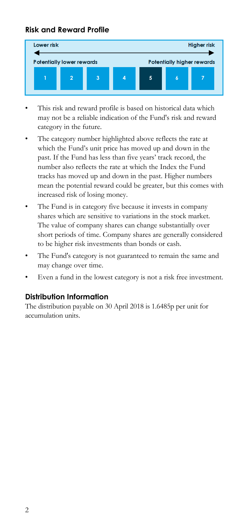## **Risk and Reward Profile**



- This risk and reward profile is based on historical data which may not be a reliable indication of the Fund's risk and reward category in the future.
- The category number highlighted above reflects the rate at which the Fund's unit price has moved up and down in the past. If the Fund has less than five years' track record, the number also reflects the rate at which the Index the Fund tracks has moved up and down in the past. Higher numbers mean the potential reward could be greater, but this comes with increased risk of losing money.
- The Fund is in category five because it invests in company shares which are sensitive to variations in the stock market. The value of company shares can change substantially over short periods of time. Company shares are generally considered to be higher risk investments than bonds or cash.
- The Fund's category is not guaranteed to remain the same and may change over time.
- Even a fund in the lowest category is not a risk free investment.

### **Distribution Information**

The distribution payable on 30 April 2018 is 1.6485p per unit for accumulation units.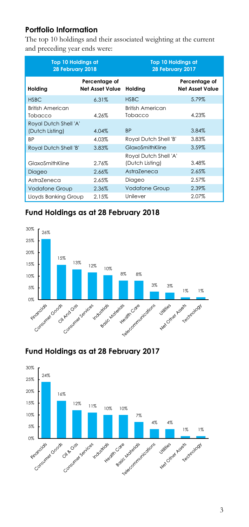# **Portfolio Information**

The top 10 holdings and their associated weighting at the current and preceding year ends were:

| <b>Top 10 Holdings at</b><br>28 February 2018 |                                         | <b>Top 10 Holdings at</b><br>28 February 2017 |                                         |  |
|-----------------------------------------------|-----------------------------------------|-----------------------------------------------|-----------------------------------------|--|
| Holding                                       | Percentage of<br><b>Net Asset Value</b> | Holding                                       | Percentage of<br><b>Net Asset Value</b> |  |
| <b>HSBC</b>                                   | 6.31%                                   | <b>HSBC</b>                                   | 5.79%                                   |  |
| British American<br>Tobacco                   | 4.26%                                   | British American<br>Tobacco                   | 4.23%                                   |  |
| Royal Dutch Shell 'A'<br>(Dutch Listing)      | 4.04%                                   | <b>BP</b>                                     | 3.84%                                   |  |
| ВP                                            | 4.03%                                   | Royal Dutch Shell 'B'                         | 3.83%                                   |  |
| Royal Dutch Shell 'B'                         | 3.83%                                   | GlaxoSmithKline                               | 3.59%                                   |  |
| GlaxoSmithKline                               | 2.76%                                   | Royal Dutch Shell 'A'<br>(Dutch Listing)      | 3.48%                                   |  |
| Diageo                                        | 2.66%                                   | AstraZeneca                                   | 2.65%                                   |  |
| AstraZeneca                                   | 2.65%                                   | Diageo                                        | 2.57%                                   |  |
| <b>Vodafone Group</b>                         | 2.36%                                   | <b>Vodafone Group</b>                         | 2.39%                                   |  |
| Lloyds Banking Group                          | 2.15%                                   | Unilever                                      | 2.07%                                   |  |

## **Fund Holdings as at 28 February 2018**





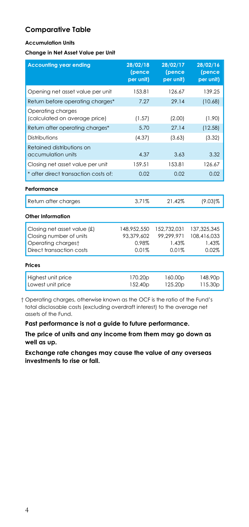### **Comparative Table**

#### **Accumulation Units**

#### **Change in Net Asset Value per Unit**

| <b>Accounting year ending</b>                                                                            | 28/02/18<br>(pence<br>per unit)             | 28/02/17<br>(pence<br>per unit)             | 28/02/16<br>(pence<br>per unit)              |
|----------------------------------------------------------------------------------------------------------|---------------------------------------------|---------------------------------------------|----------------------------------------------|
| Opening net asset value per unit                                                                         | 153.81                                      | 126.67                                      | 139.25                                       |
| Return before operating charges*                                                                         | 7.27                                        | 29.14                                       | (10.68)                                      |
| Operating charges<br>(calculated on average price)                                                       | (1.57)                                      | (2.00)                                      | (1.90)                                       |
| Return after operating charges*                                                                          | 5.70                                        | 27.14                                       | (12.58)                                      |
| Distributions                                                                                            | (4.37)                                      | (3.63)                                      | (3.32)                                       |
| Retained distributions on<br>accumulation units                                                          | 4.37                                        | 3.63                                        | 3.32                                         |
| Closing net asset value per unit                                                                         | 159.51                                      | 153.81                                      | 126.67                                       |
| * after direct transaction costs of:                                                                     | 0.02                                        | 0.02                                        | 0.02                                         |
| Performance                                                                                              |                                             |                                             |                                              |
| Return after charges                                                                                     | 3.71%                                       | 21.42%                                      | $(9.03)\%$                                   |
| Other Information                                                                                        |                                             |                                             |                                              |
| Closing net asset value (£)<br>Closing number of units<br>Operating chargest<br>Direct transaction costs | 148,952,550<br>93,379,602<br>0.98%<br>0.01% | 152,732,031<br>99.299.971<br>1.43%<br>0.01% | 137,325,345<br>108,416,033<br>1.43%<br>0.02% |
| Prices                                                                                                   |                                             |                                             |                                              |
| Highest unit price<br>Lowest unit price                                                                  | 170.20p<br>152.40 <sub>p</sub>              | 160.00p<br>125.20p                          | 148.90p<br>115.30 <sub>p</sub>               |

 † Operating charges, otherwise known as the OCF is the ratio of the Fund's total disclosable costs (excluding overdraft interest) to the average net assets of the Fund.

**Past performance is not a guide to future performance.** 

**The price of units and any income from them may go down as well as up.** 

**Exchange rate changes may cause the value of any overseas investments to rise or fall.**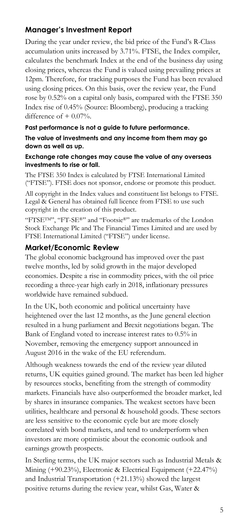# **Manager's Investment Report**

During the year under review, the bid price of the Fund's R-Class accumulation units increased by 3.71%. FTSE, the Index compiler, calculates the benchmark Index at the end of the business day using closing prices, whereas the Fund is valued using prevailing prices at 12pm. Therefore, for tracking purposes the Fund has been revalued using closing prices. On this basis, over the review year, the Fund rose by 0.52% on a capital only basis, compared with the FTSE 350 Index rise of 0.45% (Source: Bloomberg), producing a tracking difference of  $+$  0.07%.

#### **Past performance is not a guide to future performance.**

#### **The value of investments and any income from them may go down as well as up.**

#### **Exchange rate changes may cause the value of any overseas investments to rise or fall.**

The FTSE 350 Index is calculated by FTSE International Limited ("FTSE"). FTSE does not sponsor, endorse or promote this product.

All copyright in the Index values and constituent list belongs to FTSE. Legal & General has obtained full licence from FTSE to use such copyright in the creation of this product.

"FTSETM", "FT-SE®" and "Footsie®" are trademarks of the London Stock Exchange Plc and The Financial Times Limited and are used by FTSE International Limited ("FTSE") under license.

#### **Market/Economic Review**

The global economic background has improved over the past twelve months, led by solid growth in the major developed economies. Despite a rise in commodity prices, with the oil price recording a three-year high early in 2018, inflationary pressures worldwide have remained subdued.

In the UK, both economic and political uncertainty have heightened over the last 12 months, as the June general election resulted in a hung parliament and Brexit negotiations began. The Bank of England voted to increase interest rates to 0.5% in November, removing the emergency support announced in August 2016 in the wake of the EU referendum.

Although weakness towards the end of the review year diluted returns, UK equities gained ground. The market has been led higher by resources stocks, benefiting from the strength of commodity markets. Financials have also outperformed the broader market, led by shares in insurance companies. The weakest sectors have been utilities, healthcare and personal & household goods. These sectors are less sensitive to the economic cycle but are more closely correlated with bond markets, and tend to underperform when investors are more optimistic about the economic outlook and earnings growth prospects.

In Sterling terms, the UK major sectors such as Industrial Metals & Mining (+90.23%), Electronic & Electrical Equipment (+22.47%) and Industrial Transportation (+21.13%) showed the largest positive returns during the review year, whilst Gas, Water &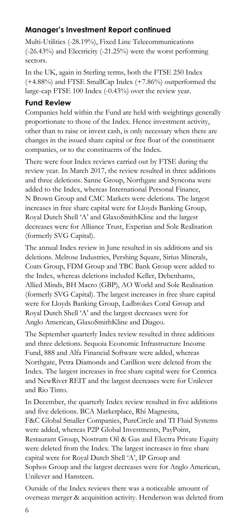# **Manager's Investment Report continued**

Multi-Utilities (-28.19%), Fixed Line Telecommunications (-26.43%) and Electricity (-21.25%) were the worst performing sectors.

In the UK, again in Sterling terms, both the FTSE 250 Index (+4.88%) and FTSE SmallCap Index (+7.86%) outperformed the large-cap FTSE 100 Index (-0.43%) over the review year.

#### **Fund Review**

Companies held within the Fund are held with weightings generally proportionate to those of the Index. Hence investment activity, other than to raise or invest cash, is only necessary when there are changes in the issued share capital or free float of the constituent companies, or to the constituents of the Index.

There were four Index reviews carried out by FTSE during the review year. In March 2017, the review resulted in three additions and three deletions. Sanne Group, Northgate and Syncona were added to the Index, whereas International Personal Finance, N Brown Group and CMC Markets were deletions. The largest increases in free share capital were for Lloyds Banking Group, Royal Dutch Shell 'A' and GlaxoSmithKline and the largest decreases were for Alliance Trust, Experian and Sole Realisation (formerly SVG Capital).

The annual Index review in June resulted in six additions and six deletions. Melrose Industries, Pershing Square, Sirius Minerals, Coats Group, FDM Group and TBC Bank Group were added to the Index, whereas deletions included Keller, Debenhams, Allied Minds, BH Macro (GBP), AO World and Sole Realisation (formerly SVG Capital). The largest increases in free share capital were for Lloyds Banking Group, Ladbrokes Coral Group and Royal Dutch Shell 'A' and the largest decreases were for Anglo American, GlaxoSmithKline and Diageo.

The September quarterly Index review resulted in three additions and three deletions. Sequoia Economic Infrastructure Income Fund, 888 and Alfa Financial Software were added, whereas Northgate, Petra Diamonds and Carillion were deleted from the Index. The largest increases in free share capital were for Centrica and NewRiver REIT and the largest decreases were for Unilever and Rio Tinto.

In December, the quarterly Index review resulted in five additions and five deletions. BCA Marketplace, Rhi Magnesita, F&C Global Smaller Companies, PureCircle and TI Fluid Systems were added, whereas P2P Global Investments, PayPoint, Restaurant Group, Nostrum Oil & Gas and Electra Private Equity were deleted from the Index. The largest increases in free share capital were for Royal Dutch Shell 'A', IP Group and Sophos Group and the largest decreases were for Anglo American, Unilever and Hansteen.

Outside of the Index reviews there was a noticeable amount of overseas merger & acquisition activity. Henderson was deleted from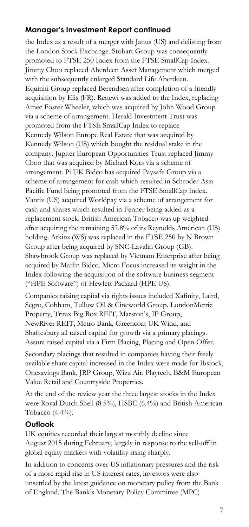## **Manager's Investment Report continued**

the Index as a result of a merger with Janus (US) and delisting from the London Stock Exchange. Stobart Group was consequently promoted to FTSE 250 Index from the FTSE SmallCap Index. Jimmy Choo replaced Aberdeen Asset Management which merged with the subsequently enlarged Standard Life Aberdeen. Equiniti Group replaced Berendsen after completion of a friendly acquisition by Elis (FR). Renewi was added to the Index, replacing Amec Foster Wheeler, which was acquired by John Wood Group via a scheme of arrangement. Herald Investment Trust was promoted from the FTSE SmallCap Index to replace Kennedy Wilson Europe Real Estate that was acquired by Kennedy Wilson (US) which bought the residual stake in the company. Jupiter European Opportunities Trust replaced Jimmy Choo that was acquired by Michael Kors via a scheme of arrangement. Pi UK Bidco has acquired Paysafe Group via a scheme of arrangement for cash which resulted in Schroder Asia Pacific Fund being promoted from the FTSE SmallCap Index. Vantiv (US) acquired Worldpay via a scheme of arrangement for cash and shares which resulted in Fenner being added as a replacement stock. British American Tobacco was up weighted after acquiring the remaining 57.8% of its Reynolds American (US) holding. Atkins (WS) was replaced in the FTSE 250 by N Brown Group after being acquired by SNC-Lavalin Group (GB). Shawbrook Group was replaced by Vietnam Enterprise after being acquired by Marlin Bidco. Micro Focus increased its weight in the Index following the acquisition of the software business segment ("HPE Software") of Hewlett Packard (HPE US).

Companies raising capital via rights issues included Xafinity, Laird, Segro, Cobham, Tullow Oil & Cineworld Group. LondonMetric Property, Tritax Big Box REIT, Marston's, IP Group, NewRiver REIT, Metro Bank, Greencoat UK Wind, and Shaftesbury all raised capital for growth via a primary placings. Assura raised capital via a Firm Placing, Placing and Open Offer.

Secondary placings that resulted in companies having their freely available share capital increased in the Index were made for Ibstock, Onesavings Bank, JRP Group, Wizz Air, Playtech, B&M European Value Retail and Countryside Properties.

At the end of the review year the three largest stocks in the Index were Royal Dutch Shell (8.5%), HSBC (6.4%) and British American Tobacco (4.4%).

#### **Outlook**

UK equities recorded their largest monthly decline since August 2015 during February, largely in response to the sell-off in global equity markets with volatility rising sharply.

In addition to concerns over US inflationary pressures and the risk of a more rapid rise in US interest rates, investors were also unsettled by the latest guidance on monetary policy from the Bank of England. The Bank's Monetary Policy Committee (MPC)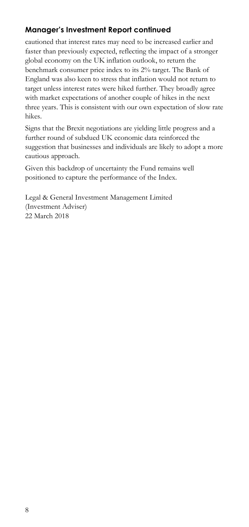# **Manager's Investment Report continued**

cautioned that interest rates may need to be increased earlier and faster than previously expected, reflecting the impact of a stronger global economy on the UK inflation outlook, to return the benchmark consumer price index to its 2% target. The Bank of England was also keen to stress that inflation would not return to target unless interest rates were hiked further. They broadly agree with market expectations of another couple of hikes in the next three years. This is consistent with our own expectation of slow rate hikes.

Signs that the Brexit negotiations are yielding little progress and a further round of subdued UK economic data reinforced the suggestion that businesses and individuals are likely to adopt a more cautious approach.

Given this backdrop of uncertainty the Fund remains well positioned to capture the performance of the Index.

Legal & General Investment Management Limited (Investment Adviser) 22 March 2018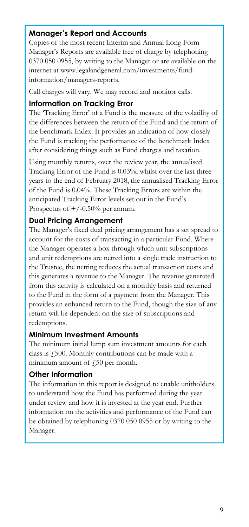## **Manager's Report and Accounts**

Copies of the most recent Interim and Annual Long Form Manager's Reports are available free of charge by telephoning 0370 050 0955, by writing to the Manager or are available on the internet at www.legalandgeneral.com/investments/fundinformation/managers-reports.

Call charges will vary. We may record and monitor calls.

#### **Information on Tracking Error**

The 'Tracking Error' of a Fund is the measure of the volatility of the differences between the return of the Fund and the return of the benchmark Index. It provides an indication of how closely the Fund is tracking the performance of the benchmark Index after considering things such as Fund charges and taxation.

Using monthly returns, over the review year, the annualised Tracking Error of the Fund is 0.03%, whilst over the last three years to the end of February 2018, the annualised Tracking Error of the Fund is 0.04%. These Tracking Errors are within the anticipated Tracking Error levels set out in the Fund's Prospectus of  $+/-0.50%$  per annum.

### **Dual Pricing Arrangement**

The Manager's fixed dual pricing arrangement has a set spread to account for the costs of transacting in a particular Fund. Where the Manager operates a box through which unit subscriptions and unit redemptions are netted into a single trade instruction to the Trustee, the netting reduces the actual transaction costs and this generates a revenue to the Manager. The revenue generated from this activity is calculated on a monthly basis and returned to the Fund in the form of a payment from the Manager. This provides an enhanced return to the Fund, though the size of any return will be dependent on the size of subscriptions and redemptions.

### **Minimum Investment Amounts**

The minimum initial lump sum investment amounts for each class is £500. Monthly contributions can be made with a minimum amount of  $\sqrt{250}$  per month.

### **Other Information**

The information in this report is designed to enable unitholders to understand how the Fund has performed during the year under review and how it is invested at the year end. Further information on the activities and performance of the Fund can be obtained by telephoning 0370 050 0955 or by writing to the Manager.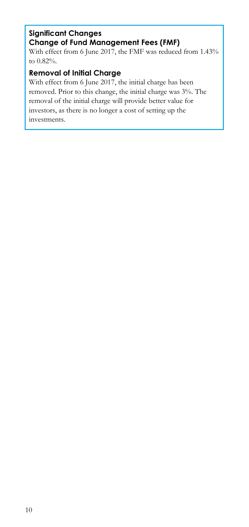### **Significant Changes Change of Fund Management Fees (FMF)**

With effect from 6 June 2017, the FMF was reduced from 1.43% to 0.82%.

# **Removal of Initial Charge**

With effect from 6 June 2017, the initial charge has been removed. Prior to this change, the initial charge was 3%. The removal of the initial charge will provide better value for investors, as there is no longer a cost of setting up the investments.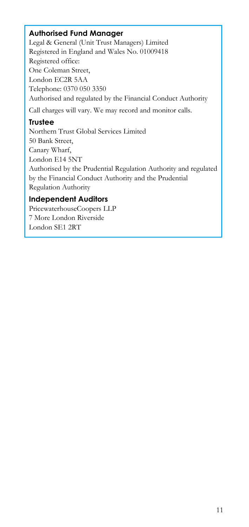## **Authorised Fund Manager**

Legal & General (Unit Trust Managers) Limited Registered in England and Wales No. 01009418 Registered office: One Coleman Street, London EC2R 5AA Telephone: 0370 050 3350 Authorised and regulated by the Financial Conduct Authority Call charges will vary. We may record and monitor calls.

### **Trustee**

Northern Trust Global Services Limited 50 Bank Street, Canary Wharf, London E14 5NT Authorised by the Prudential Regulation Authority and regulated by the Financial Conduct Authority and the Prudential Regulation Authority

# **Independent Auditors**

PricewaterhouseCoopers LLP 7 More London Riverside London SE1 2RT